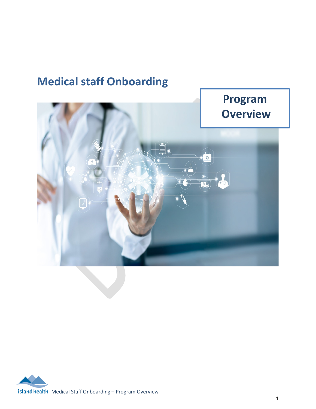# **Program Overview** $\overline{\circ}$

# **Medical staff Onboarding**

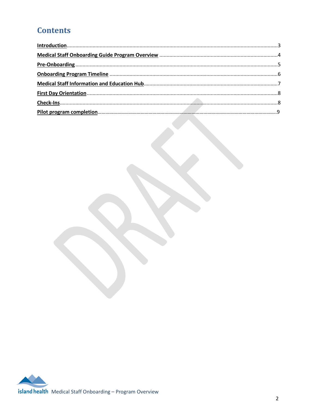# **Contents**

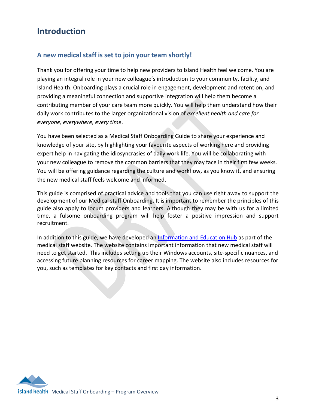### <span id="page-2-0"></span>**Introduction**

### **A new medical staff is set to join your team shortly!**

Thank you for offering your time to help new providers to Island Health feel welcome. You are playing an integral role in your new colleague's introduction to your community, facility, and Island Health. Onboarding plays a crucial role in engagement, development and retention, and providing a meaningful connection and supportive integration will help them become a contributing member of your care team more quickly. You will help them understand how their daily work contributes to the larger organizational vision of *excellent health and care for everyone, everywhere, every time*.

You have been selected as a Medical Staff Onboarding Guide to share your experience and knowledge of your site, by highlighting your favourite aspects of working here and providing expert help in navigating the idiosyncrasies of daily work life. You will be collaborating with your new colleague to remove the common barriers that they may face in their first few weeks. You will be offering guidance regarding the culture and workflow, as you know it, and ensuring the new medical staff feels welcome and informed.

This guide is comprised of practical advice and tools that you can use right away to support the development of our Medical staff Onboarding. It is important to remember the principles of this guide also apply to locum providers and learners. Although they may be with us for a limited time, a fulsome onboarding program will help foster a positive impression and support recruitment.

In addition to this guide, we have developed a[n Information and Education](https://medicalstaff.islandhealth.ca/medical-staff-onboarding) Hub as part of the medical staff website. The website contains important information that new medical staff will need to get started. This includes setting up their Windows accounts, site-specific nuances, and accessing future planning resources for career mapping. The website also includes resources for you, such as templates for key contacts and first day information.

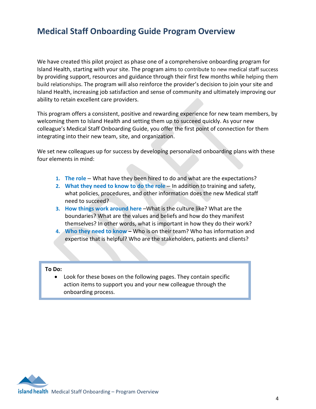### <span id="page-3-0"></span>**Medical Staff Onboarding Guide Program Overview**

We have created this pilot project as phase one of a comprehensive onboarding program for Island Health, starting with your site. The program aims to contribute to new medical staff success by providing support, resources and guidance through their first few months while helping them build relationships. The program will also reinforce the provider's decision to join your site and Island Health, increasing job satisfaction and sense of community and ultimately improving our ability to retain excellent care providers.

This program offers a consistent, positive and rewarding experience for new team members, by welcoming them to Island Health and setting them up to succeed quickly. As your new colleague's Medical Staff Onboarding Guide, you offer the first point of connection for them integrating into their new team, site, and organization.

We set new colleagues up for success by developing personalized onboarding plans with these four elements in mind:

- **1. The role** What have they been hired to do and what are the expectations?
- **2. What they need to know to do the role** In addition to training and safety, what policies, procedures, and other information does the new Medical staff need to succeed?
- **3. How things work around here** –What is the culture like? What are the boundaries? What are the values and beliefs and how do they manifest themselves? In other words, what is important in how they do their work?
- **4. Who they need to know –** Who is on their team? Who has information and expertise that is helpful? Who are the stakeholders, patients and clients?

### **To Do:**

• Look for these boxes on the following pages. They contain specific action items to support you and your new colleague through the onboarding process.

island health Medical Staff Onboarding - Program Overview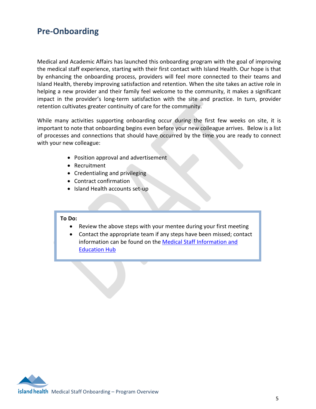### <span id="page-4-0"></span>**Pre-Onboarding**

Medical and Academic Affairs has launched this onboarding program with the goal of improving the medical staff experience, starting with their first contact with Island Health. Our hope is that by enhancing the onboarding process, providers will feel more connected to their teams and Island Health, thereby improving satisfaction and retention. When the site takes an active role in helping a new provider and their family feel welcome to the community, it makes a significant impact in the provider's long-term satisfaction with the site and practice. In turn, provider retention cultivates greater continuity of care for the community.

While many activities supporting onboarding occur during the first few weeks on site, it is important to note that onboarding begins even before your new colleague arrives. Below is a list of processes and connections that should have occurred by the time you are ready to connect with your new colleague:

- Position approval and advertisement
- Recruitment
- Credentialing and privileging
- Contract confirmation
- Island Health accounts set-up

### **To Do:**

- Review the above steps with your mentee during your first meeting
- Contact the appropriate team if any steps have been missed; contact information can be found on the [Medical Staff Information and](https://medicalstaff.islandhealth.ca/medical-staff-onboarding)  [Education Hub](https://medicalstaff.islandhealth.ca/medical-staff-onboarding)

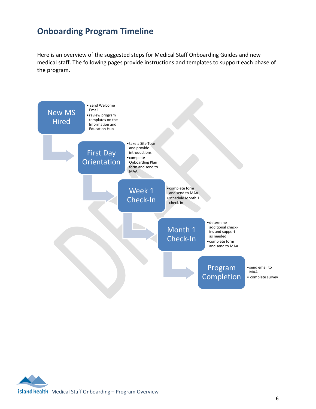## <span id="page-5-0"></span>**Onboarding Program Timeline**

Here is an overview of the suggested steps for Medical Staff Onboarding Guides and new medical staff. The following pages provide instructions and templates to support each phase of the program.

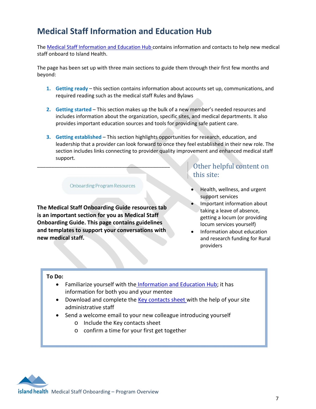# <span id="page-6-0"></span>**Medical Staff Information and Education Hub**

The Medical Staff [Information and Education Hub](https://medicalstaff.islandhealth.ca/medical-staff-onboarding) contains information and contacts to help new medical staff onboard to Island Health.

The page has been set up with three main sections to guide them through their first few months and beyond:

- **1. Getting ready**  this section contains information about accounts set up, communications, and required reading such as the medical staff Rules and Bylaws
- **2. Getting started**  This section makes up the bulk of a new member's needed resources and includes information about the organization, specific sites, and medical departments. It also provides important education sources and tools for providing safe patient care.
- **3. Getting established** This section highlights opportunities for research, education, and leadership that a provider can look forward to once they feel established in their new role. The section includes links connecting to provider quality improvement and enhanced medical staff support.

**Onboarding Program Resources** 

\_\_\_\_\_\_\_\_\_\_\_\_\_\_\_\_\_\_\_\_\_\_\_\_\_\_\_\_\_\_\_\_\_\_\_\_\_\_\_\_\_\_\_\_\_\_\_

**The Medical Staff Onboarding Guide resources tab is an important section for you as Medical Staff Onboarding Guide. This page contains guidelines and templates to support your conversations with new medical staff.**

### Other helpful content on this site:

- Health, wellness, and urgent support services
- Important information about taking a leave of absence, getting a locum (or providing locum services yourself)
- Information about education and research funding for Rural providers

### **To Do:**

- Familiarize yourself with the [Information and Education Hub;](https://medicalstaff.islandhealth.ca/medical-staff-onboarding) it has information for both you and your mentee
- Download and complete the [Key contacts sheet](https://medicalstaff.islandhealth.ca/sites/default/files/onboarding/Site%20Ambassador%20Resources/updated/MS%20Key%20Contacts.pdf) with the help of your site administrative staff
- Send a welcome email to your new colleague introducing yourself
	- o Include the Key contacts sheet
	- o confirm a time for your first get together

island health Medical Staff Onboarding - Program Overview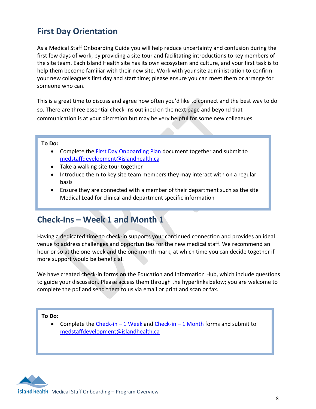# <span id="page-7-0"></span>**First Day Orientation**

As a Medical Staff Onboarding Guide you will help reduce uncertainty and confusion during the first few days of work, by providing a site tour and facilitating introductions to key members of the site team. Each Island Health site has its own ecosystem and culture, and your first task is to help them become familiar with their new site. Work with your site administration to confirm your new colleague's first day and start time; please ensure you can meet them or arrange for someone who can.

This is a great time to discuss and agree how often you'd like to connect and the best way to do so. There are three essential check-ins outlined on the next page and beyond that communication is at your discretion but may be very helpful for some new colleagues.

### **To Do:**

- Complete the [First Day Onboarding Plan](https://medicalstaff.islandhealth.ca/sites/default/files/onboarding/Site%20Ambassador%20Resources/updated/MS%20First%20Day%20Onboarding%20Checklist.pdf) document together and submit to [medstaffdevelopment@islandhealth.ca](mailto:maianna.marquette@islandhealth.ca)
- Take a walking site tour together
- Introduce them to key site team members they may interact with on a regular basis
- Ensure they are connected with a member of their department such as the site Medical Lead for clinical and department specific information

# <span id="page-7-1"></span>**Check-Ins – Week 1 and Month 1**

Having a dedicated time to check-in supports your continued connection and provides an ideal venue to address challenges and opportunities for the new medical staff. We recommend an hour or so at the one-week and the one-month mark, at which time you can decide together if more support would be beneficial.

We have created check-in forms on the Education and Information Hub, which include questions to guide your discussion. Please access them through the hyperlinks below; you are welcome to complete the pdf and send them to us via email or print and scan or fax.

**To Do:**

• Complete the [Check-in –](https://medicalstaff.islandhealth.ca/sites/default/files/onboarding/Site%20Ambassador%20Resources/updated/Onboarding%20Check-In%20Template%20-%201%20Week.pdf) 1 Week an[d Check-in –](https://medicalstaff.islandhealth.ca/sites/default/files/onboarding/Site%20Ambassador%20Resources/updated/Onboarding%20Check-In%20Template%20-%201%20Month.pdf) 1 Month forms and submit to [medstaffdevelopment@islandhealth.ca](mailto:maianna.marquette@islandhealth.ca)